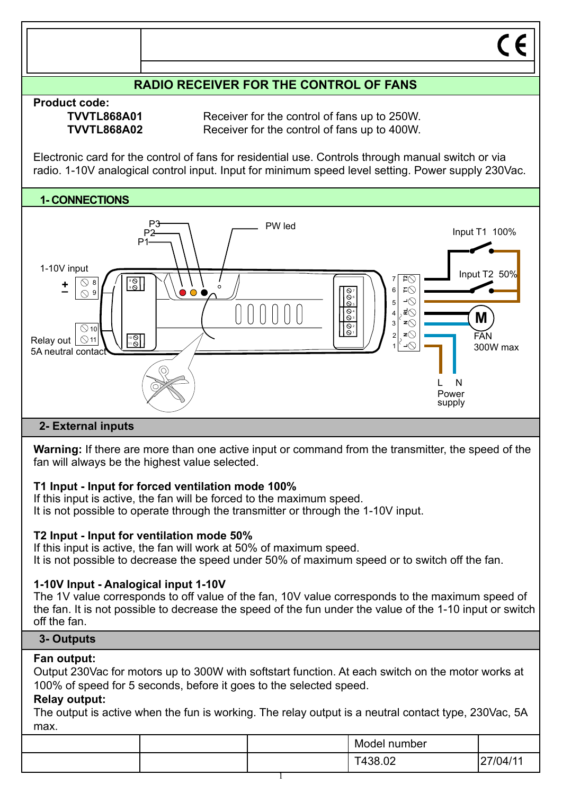

# **T1 Input - Input for forced ventilation mode 100%**

If this input is active, the fan will be forced to the maximum speed. It is not possible to operate through the transmitter or through the 1-10V input.

## **T2 Input - Input for ventilation mode 50%**

If this input is active, the fan will work at 50% of maximum speed. It is not possible to decrease the speed under 50% of maximum speed or to switch off the fan.

## **1-10V Input - Analogical input 1-10V**

The 1V value corresponds to off value of the fan, 10V value corresponds to the maximum speed of the fan. It is not possible to decrease the speed of the fun under the value of the 1-10 input or switch off the fan.

### **3- Outputs**

### **Fan output:**

Output 230Vac for motors up to 300W with softstart function. At each switch on the motor works at 100% of speed for 5 seconds, before it goes to the selected speed.

### **Relay output:**

The output is active when the fun is working. The relay output is a neutral contact type, 230Vac, 5A max.

|  | Model number |         |
|--|--------------|---------|
|  | T438.02      | 7/04/11 |
|  |              |         |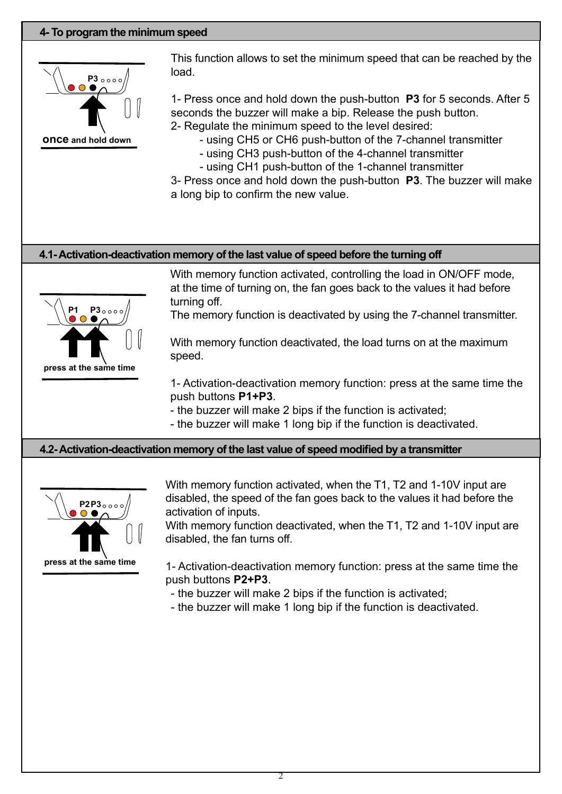### **4- To program the minimum speed**



This function allows to set the minimum speed that can be reached by the load.

1- Press once and hold down the push-button **P3** for 5 seconds. After 5 seconds the buzzer will make a bip. Release the push button.

2- Regulate the minimum speed to the level desired:

- using CH5 or CH6 push-button of the 7-channel transmitter

- using CH3 push-button of the 4-channel transmitter

- using CH1 push-button of the 1-channel transmitter

3- Press once and hold down the push-button **P3**. The buzzer will make a long bip to confirm the new value.

### **4.1- Activation-deactivation memory of the last value of speed before the turning off**



With memory function activated, controlling the load in ON/OFF mode, at the time of turning on, the fan goes back to the values it had before turning off.

The memory function is deactivated by using the 7-channel transmitter.

With memory function deactivated, the load turns on at the maximum speed.

1- Activation-deactivation memory function: press at the same time the push buttons **P1+P3**.

- the buzzer will make 2 bips if the function is activated;

- the buzzer will make 1 long bip if the function is deactivated.

### **4.2- Activation-deactivation memory of the last value of speed modified by a transmitter**



With memory function activated, when the T1, T2 and 1-10V input are disabled, the speed of the fan goes back to the values it had before the activation of inputs.

With memory function deactivated, when the T1, T2 and 1-10V input are disabled, the fan turns off.

1- Activation-deactivation memory function: press at the same time the push buttons **P2+P3**.

- the buzzer will make 2 bips if the function is activated;
- the buzzer will make 1 long bip if the function is deactivated.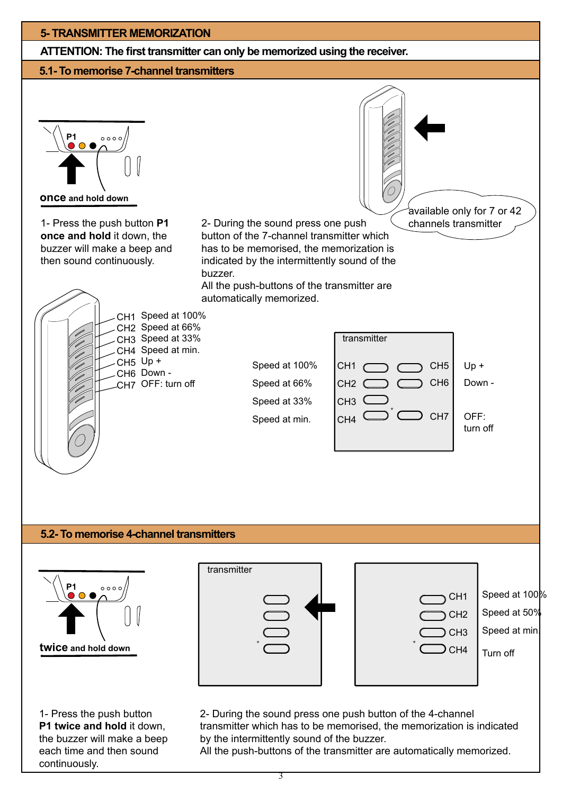# **5- TRANSMITTER MEMORIZATION ATTENTION: The first transmitter can only be memorized using the receiver. 5.1- To memorise 7-channel transmitters P1**  $0000$ **once and hold down** available only for 7 or 42

1- Press the push button **P1 once and hold** it down, the buzzer will make a beep and then sound continuously.

channels transmitter 2- During the sound press one push button of the 7-channel transmitter which has to be memorised, the memorization is indicated by the intermittently sound of the buzzer.

All the push-buttons of the transmitter are automatically memorized.



## **5.2- To memorise 4-channel transmitters**



1- Press the push button **P1 twice and hold** it down, the buzzer will make a beep each time and then sound continuously.



2- During the sound press one push button of the 4-channel transmitter which has to be memorised, the memorization is indicated by the intermittently sound of the buzzer. All the push-buttons of the transmitter are automatically memorized.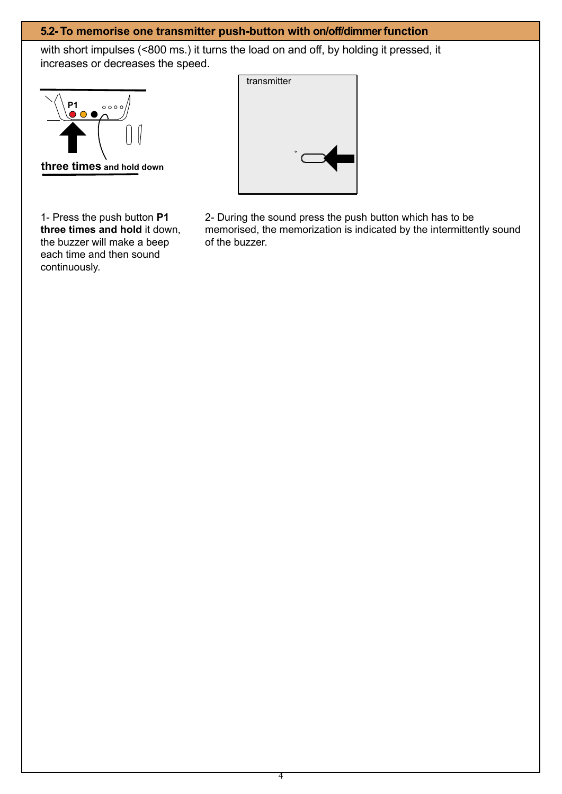## **5.2- To memorise one transmitter push-button with on/off/dimmer function**

with short impulses (<800 ms.) it turns the load on and off, by holding it pressed, it increases or decreases the speed.



1- Press the push button **P1 three times and hold** it down, the buzzer will make a beep each time and then sound continuously.



2- During the sound press the push button which has to be memorised, the memorization is indicated by the intermittently sound of the buzzer.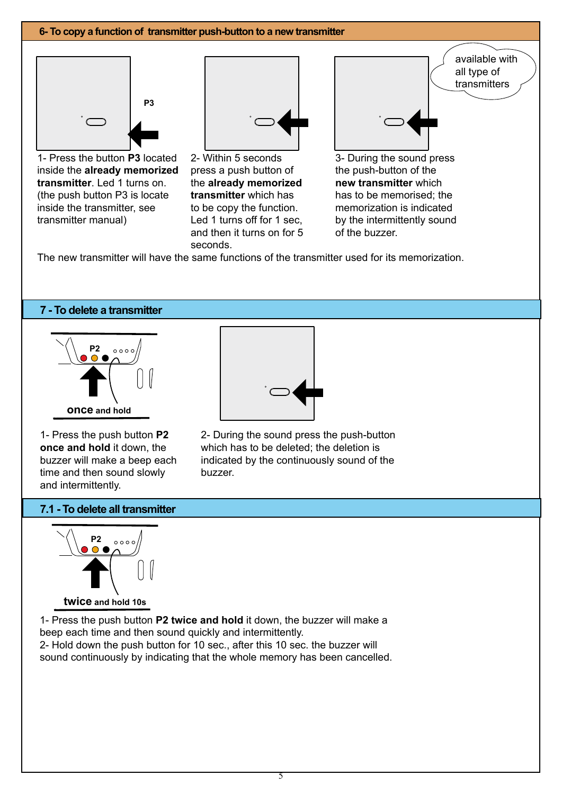#### **6- To copy a function of transmitter push-button to a new transmitter** 1- Press the button **P3** located inside the **already memorized transmitter**. Led 1 turns on. (the push button P3 is locate inside the transmitter, see transmitter manual) 2- Within 5 seconds press a push button of the **already memorized transmitter** which has to be copy the function. Led 1 turns off for 1 sec, and then it turns on for 5 available with all type of transmitters **P3** 3- During the sound press the push-button of the **new transmitter** which has to be memorised; the memorization is indicated by the intermittently sound of the buzzer.

The new transmitter will have the same functions of the transmitter used for its memorization.

seconds.

### **7 - To delete a transmitter**



1- Press the push button **P2 once and hold** it down, the buzzer will make a beep each time and then sound slowly and intermittently.



2- During the sound press the push-button which has to be deleted; the deletion is indicated by the continuously sound of the buzzer.

### **7.1 - To delete all transmitter**



1- Press the push button **P2 twice and hold** it down, the buzzer will make a beep each time and then sound quickly and intermittently. 2- Hold down the push button for 10 sec., after this 10 sec. the buzzer will sound continuously by indicating that the whole memory has been cancelled.